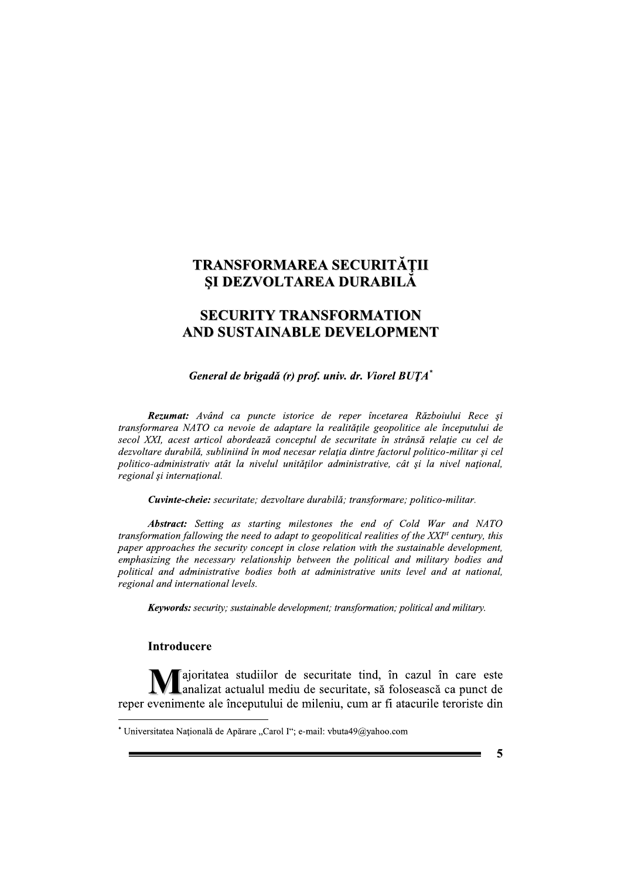# TRANSFORMAREA SECURITĂȚII ȘI DEZVOLTAREA DURABILĂ

## **SECURITY TRANSFORMATION AND SUSTAINABLE DEVELOPMENT**

General de brigadă (r) prof. univ. dr. Viorel BUTA\*

Rezumat: Având ca puncte istorice de reper încetarea Războiului Rece și transformarea NATO ca nevoie de adaptare la realitățile geopolitice ale începutului de secol XXI, acest articol abordează conceptul de securitate în strânsă relație cu cel de dezvoltare durabilă, subliniind în mod necesar relația dintre factorul politico-militar și cel politico-administrativ atât la nivelul unitătilor administrative, cât și la nivel national, regional și internațional.

Cuvinte-cheie: securitate; dezvoltare durabilă; transformare; politico-militar.

**Abstract:** Setting as starting milestones the end of Cold War and NATO transformation fallowing the need to adapt to geopolitical realities of the XXI<sup>st</sup> century, this paper approaches the security concept in close relation with the sustainable development, emphasizing the necessary relationship between the political and military bodies and political and administrative bodies both at administrative units level and at national. regional and international levels.

**Keywords:** security; sustainable development; transformation; political and military.

### **Introducere**

la apprimentate a studiilor de securitate tind, în cazul în care este analizat actualul mediu de securitate, să folosească ca punct de reper evenimente ale începutului de mileniu, cum ar fi atacurile teroriste din

5

<sup>\*</sup> Universitatea Națională de Apărare "Carol I"; e-mail: vbuta49@yahoo.com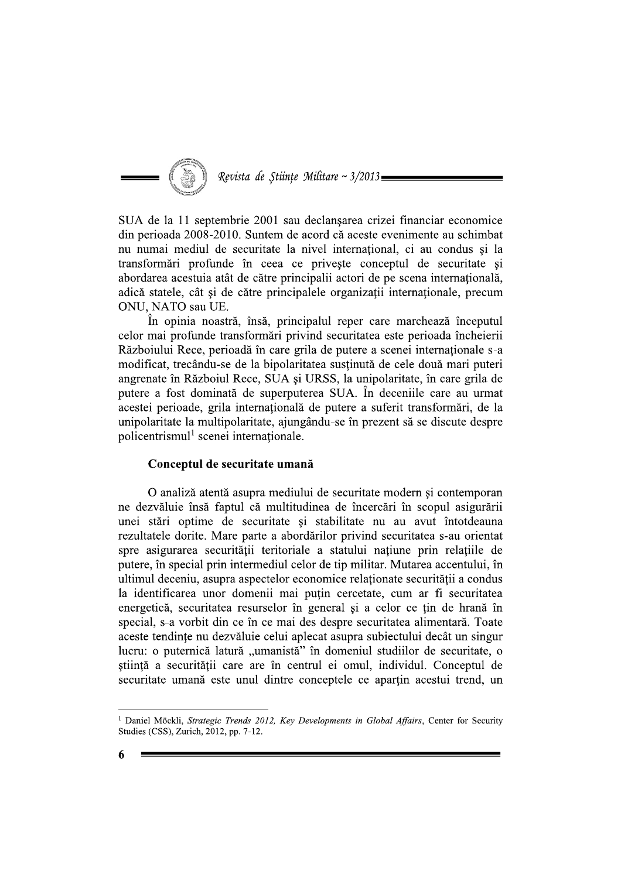

SUA de la 11 septembrie 2001 sau declanșarea crizei financiar economice din perioada 2008-2010. Suntem de acord că aceste evenimente au schimbat nu numai mediul de securitate la nivel international, ci au condus si la transformări profunde în ceea ce privește conceptul de securitate și abordarea acestuia atât de către principalii actori de pe scena internațională, adică statele, cât și de către principalele organizații internaționale, precum ONU, NATO sau UE.

În opinia noastră, însă, principalul reper care marchează începutul celor mai profunde transformări privind securitatea este perioada încheierii Războiului Rece, perioadă în care grila de putere a scenei internaționale s-a modificat, trecându-se de la bipolaritatea sustinută de cele două mari puteri angrenate în Războiul Rece, SUA și URSS, la unipolaritate, în care grila de putere a fost dominată de superputerea SUA. În deceniile care au urmat acestei perioade, grila internatională de putere a suferit transformări, de la unipolaritate la multipolaritate, ajungându-se în prezent să se discute despre policentrismul<sup>1</sup> scenei internationale.

#### Conceptul de securitate umană

O analiză atentă asupra mediului de securitate modern și contemporan ne dezvăluie însă faptul că multitudinea de încercări în scopul asigurării unei stări optime de securitate și stabilitate nu au avut întotdeauna rezultatele dorite. Mare parte a abordărilor privind securitatea s-au orientat spre asigurarea securității teritoriale a statului națiune prin relațiile de putere, în special prin intermediul celor de tip militar. Mutarea accentului, în ultimul deceniu, asupra aspectelor economice relationate securității a condus la identificarea unor domenii mai putin cercetate, cum ar fi securitatea energetică, securitatea resurselor în general și a celor ce țin de hrană în special, s-a vorbit din ce în ce mai des despre securitatea alimentară. Toate aceste tendinte nu dezvăluie celui aplecat asupra subiectului decât un singur lucru: o puternică latură "umanistă" în domeniul studiilor de securitate, o știință a securității care are în centrul ei omul, individul. Conceptul de securitate umană este unul dintre conceptele ce apartin acestui trend, un

<sup>&</sup>lt;sup>1</sup> Daniel Möckli, Strategic Trends 2012, Key Developments in Global Affairs, Center for Security Studies (CSS), Zurich, 2012, pp. 7-12.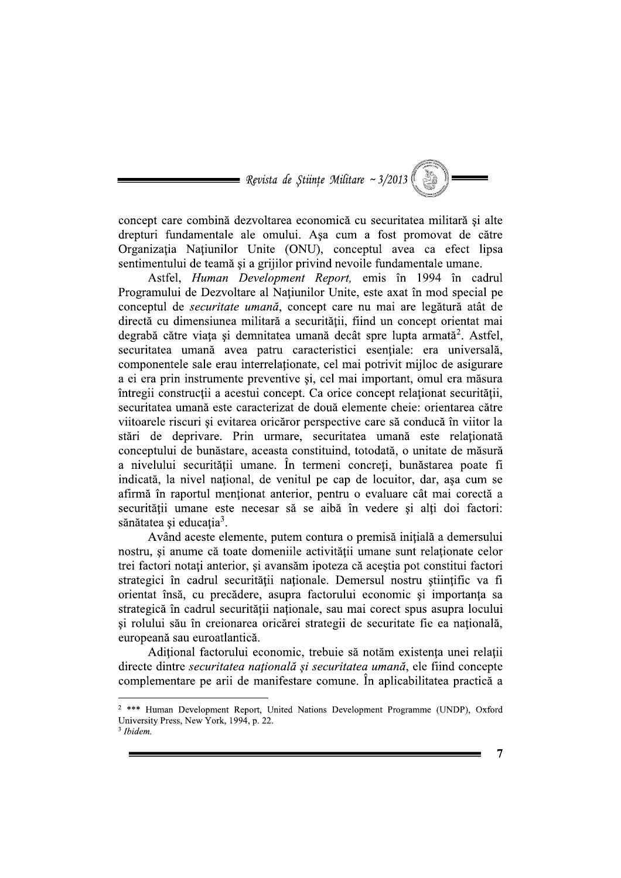$\implies$  Revista de Stiințe Militare ~ 3/2013 (

concept care combină dezvoltarea economică cu securitatea militară și alte drepturi fundamentale ale omului. Așa cum a fost promovat de către Organizația Națiunilor Unite (ONU), conceptul avea ca efect lipsa sentimentului de teamă și a grijilor privind nevoile fundamentale umane.

Astfel, *Human Development Report*, emis în 1994 în cadrul Programului de Dezvoltare al Natiunilor Unite, este axat în mod special pe conceptul de securitate umană, concept care nu mai are legătură atât de directă cu dimensiunea militară a securității, fiind un concept orientat mai degrabă către viața și demnitatea umană decât spre lupta armată<sup>2</sup>. Astfel, securitatea umană avea patru caracteristici esentiale: era universală. componentele sale erau interrelationate, cel mai potrivit mijloc de asigurare a ei era prin instrumente preventive și, cel mai important, omul era măsura întregii construcții a acestui concept. Ca orice concept relaționat securității, securitatea umană este caracterizat de două elemente cheie: orientarea către viitoarele riscuri și evitarea oricăror perspective care să conducă în viitor la stări de deprivare. Prin urmare, securitatea umană este relationată conceptului de bunăstare, aceasta constituind, totodată, o unitate de măsură a nivelului securității umane. În termeni concreti, bunăstarea poate fi indicată, la nivel național, de venitul pe cap de locuitor, dar, așa cum se afirmă în raportul menționat anterior, pentru o evaluare cât mai corectă a securității umane este necesar să se aibă în vedere si alti doi factori: sănătatea și educația<sup>3</sup>.

Având aceste elemente, putem contura o premisă inițială a demersului nostru, și anume că toate domeniile activității umane sunt relaționate celor trei factori notați anterior, și avansăm ipoteza că aceștia pot constitui factori strategici în cadrul securității nationale. Demersul nostru stiintific va fi orientat însă, cu precădere, asupra factorului economic și importanța sa strategică în cadrul securității naționale, sau mai corect spus asupra locului si rolului său în creionarea oricărei strategii de securitate fie ea natională. europeană sau euroatlantică.

Aditional factorului economic, trebuie să notăm existenta unei relatii directe dintre securitatea națională și securitatea umană, ele fiind concepte complementare pe arii de manifestare comune. În aplicabilitatea practică a

 $3$  Ibidem.

<sup>&</sup>lt;sup>2</sup> \*\*\* Human Development Report, United Nations Development Programme (UNDP), Oxford University Press, New York, 1994, p. 22.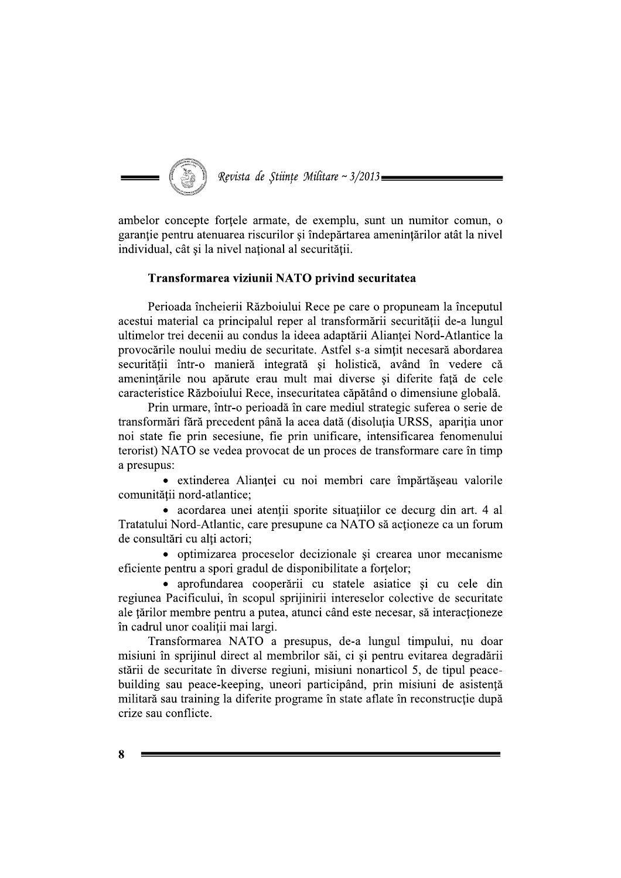

ambelor concepte forțele armate, de exemplu, sunt un numitor comun, o garantie pentru atenuarea riscurilor si îndepărtarea amenintărilor atât la nivel individual, cât și la nivel național al securității.

#### Transformarea viziunii NATO privind securitatea

Perioada încheierii Războiului Rece pe care o propuneam la începutul acestui material ca principalul reper al transformării securității de-a lungul ultimelor trei decenii au condus la ideea adaptării Alianței Nord-Atlantice la provocările noului mediu de securitate. Astfel s-a simțit necesară abordarea securității într-o manieră integrată și holistică, având în vedere că amenințările nou apărute erau mult mai diverse și diferite față de cele caracteristice Războiului Rece, insecuritatea căpătând o dimensiune globală.

Prin urmare, într-o perioadă în care mediul strategic suferea o serie de transformări fără precedent până la acea dată (disoluția URSS, apariția unor noi state fie prin secesiune, fie prin unificare, intensificarea fenomenului terorist) NATO se vedea provocat de un proces de transformare care în timp a presupus:

• extinderea Alianței cu noi membri care împărtășeau valorile comunității nord-atlantice:

• acordarea unei atenții sporite situațiilor ce decurg din art. 4 al Tratatului Nord-Atlantic, care presupune ca NATO să acționeze ca un forum de consultări cu alti actori;

• optimizarea proceselor decizionale si crearea unor mecanisme eficiente pentru a spori gradul de disponibilitate a fortelor;

· aprofundarea cooperării cu statele asiatice și cu cele din regiunea Pacificului, în scopul sprijinirii intereselor colective de securitate ale țărilor membre pentru a putea, atunci când este necesar, să interacționeze în cadrul unor coaliții mai largi.

Transformarea NATO a presupus, de-a lungul timpului, nu doar misiuni în sprijinul direct al membrilor săi, ci și pentru evitarea degradării stării de securitate în diverse regiuni, misiuni nonarticol 5, de tipul peacebuilding sau peace-keeping, uneori participând, prin misiuni de asistență militară sau training la diferite programe în state aflate în reconstructie după crize sau conflicte.

Я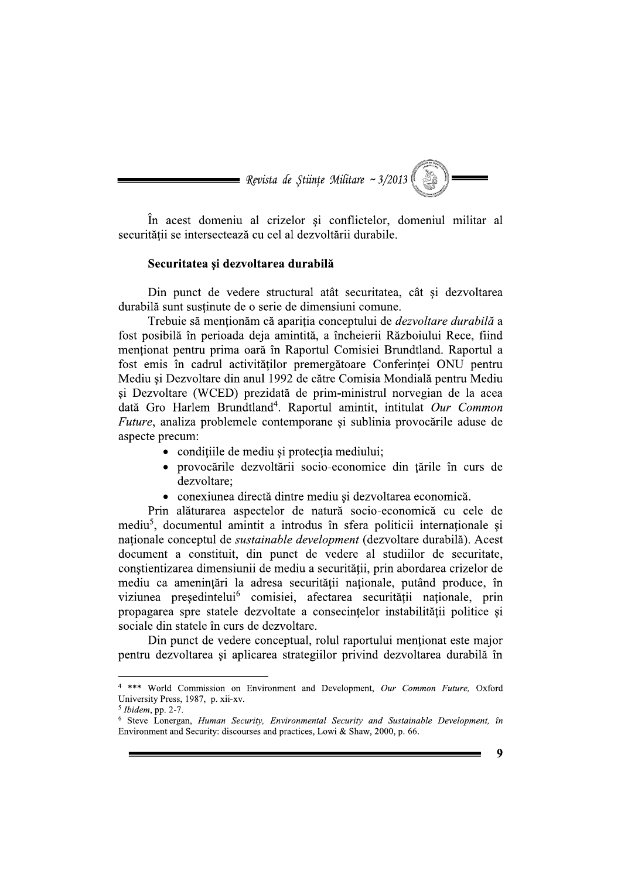În acest domeniu al crizelor și conflictelor, domeniul militar al securității se intersectează cu cel al dezvoltării durabile.

#### Securitatea și dezvoltarea durabilă

Din punct de vedere structural atât securitatea, cât si dezvoltarea durabilă sunt sustinute de o serie de dimensiuni comune.

Trebuie să menționăm că apariția conceptului de *dezvoltare durabilă* a fost posibilă în perioada deja amintită, a încheierii Războiului Rece, fiind menționat pentru prima oară în Raportul Comisiei Brundtland. Raportul a fost emis în cadrul activităților premergătoare Conferinței ONU pentru Mediu și Dezvoltare din anul 1992 de către Comisia Mondială pentru Mediu și Dezvoltare (WCED) prezidată de prim-ministrul norvegian de la acea dată Gro Harlem Brundtland<sup>4</sup>. Raportul amintit, intitulat Our Common Future, analiza problemele contemporane și sublinia provocările aduse de aspecte precum:

- conditiile de mediu și protecția mediului;
- provocările dezvoltării socio-economice din țările în curs de dezvoltare:
- conexiunea directă dintre mediu și dezvoltarea economică.

Prin alăturarea aspectelor de natură socio-economică cu cele de mediu<sup>5</sup>, documentul amintit a introdus în sfera politicii internationale și naționale conceptul de sustainable development (dezvoltare durabilă). Acest document a constituit, din punct de vedere al studiilor de securitate, constientizarea dimensiunii de mediu a securității, prin abordarea crizelor de mediu ca amenințări la adresa securității naționale, putând produce, în viziunea președintelui<sup>6</sup> comisiei, afectarea securității naționale, prin propagarea spre statele dezvoltate a consecintelor instabilității politice și sociale din statele în curs de dezvoltare.

Din punct de vedere conceptual, rolul raportului mentionat este major pentru dezvoltarea și aplicarea strategiilor privind dezvoltarea durabilă în

<sup>&</sup>lt;sup>4</sup> \*\*\* World Commission on Environment and Development, Our Common Future, Oxford University Press, 1987, p. xii-xv.

 $5$  Ibidem, pp. 2-7.

<sup>&</sup>lt;sup>6</sup> Steve Lonergan, Human Security, Environmental Security and Sustainable Development, în Environment and Security: discourses and practices, Lowi & Shaw, 2000, p. 66.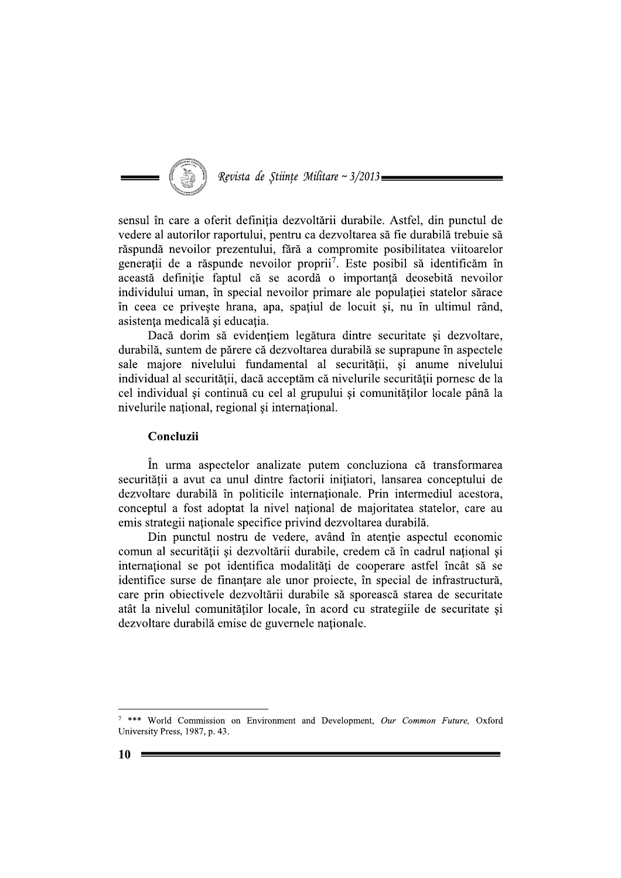

sensul în care a oferit definiția dezvoltării durabile. Astfel, din punctul de vedere al autorilor raportului, pentru ca dezvoltarea să fie durabilă trebuie să răspundă nevoilor prezentului, fără a compromite posibilitatea viitoarelor generații de a răspunde nevoilor proprii<sup>7</sup>. Este posibil să identificăm în această definiție faptul că se acordă o importanță deosebită nevoilor individului uman, în special nevoilor primare ale populației statelor sărace în ceea ce privește hrana, apa, spațiul de locuit și, nu în ultimul rând, asistența medicală și educația.

Dacă dorim să evidențiem legătura dintre securitate și dezvoltare, durabilă, suntem de părere că dezvoltarea durabilă se suprapune în aspectele sale majore nivelului fundamental al securității, și anume nivelului individual al securității, dacă acceptăm că nivelurile securității pornesc de la cel individual și continuă cu cel al grupului și comunităților locale până la nivelurile national, regional si international.

#### Concluzii

În urma aspectelor analizate putem concluziona că transformarea securității a avut ca unul dintre factorii initiatori, lansarea conceptului de dezvoltare durabilă în politicile internaționale. Prin intermediul acestora, conceptul a fost adoptat la nivel national de majoritatea statelor, care au emis strategii naționale specifice privind dezvoltarea durabilă.

Din punctul nostru de vedere, având în atenție aspectul economic comun al securității și dezvoltării durabile, credem că în cadrul național și internațional se pot identifica modalități de cooperare astfel încât să se identifice surse de finantare ale unor projecte, în special de infrastructură, care prin obiectivele dezvoltării durabile să sporească starea de securitate atât la nivelul comunităților locale, în acord cu strategiile de securitate și dezvoltare durabilă emise de guvernele nationale.

<sup>7 \*\*\*</sup> World Commission on Environment and Development, Our Common Future, Oxford University Press, 1987, p. 43.